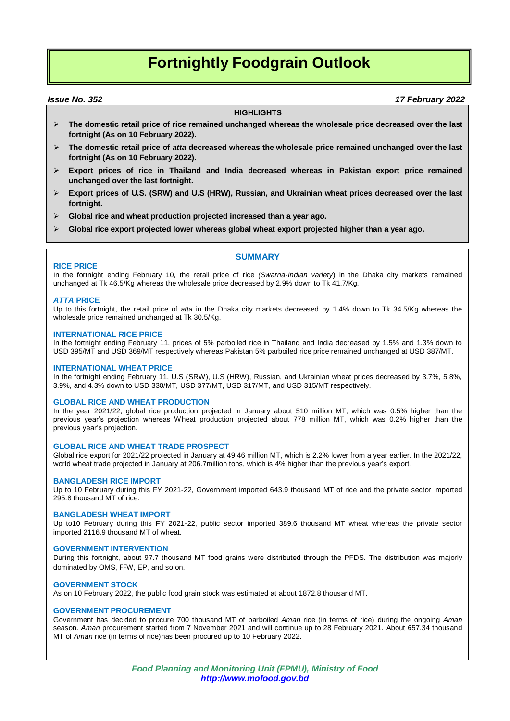# **Fortnightly Foodgrain Outlook**

### *Issue No. 352 17 February 2022*

#### **HIGHLIGHTS**

- **The domestic retail price of rice remained unchanged whereas the wholesale price decreased over the last fortnight (As on 10 February 2022).**
- **The domestic retail price of** *atta* **decreased whereas the wholesale price remained unchanged over the last fortnight (As on 10 February 2022).**
- **Export prices of rice in Thailand and India decreased whereas in Pakistan export price remained unchanged over the last fortnight.**
- **Export prices of U.S. (SRW) and U.S (HRW), Russian, and Ukrainian wheat prices decreased over the last fortnight.**
- **Global rice and wheat production projected increased than a year ago.**
- **Global rice export projected lower whereas global wheat export projected higher than a year ago.**

#### **RICE PRICE**

In the fortnight ending February 10, the retail price of rice *(Swarna-Indian variety*) in the Dhaka city markets remained unchanged at Tk 46.5/Kg whereas the wholesale price decreased by 2.9% down to Tk 41.7/Kg.

#### *ATTA* **PRICE**

Up to this fortnight, the retail price of *atta* in the Dhaka city markets decreased by 1.4% down to Tk 34.5/Kg whereas the wholesale price remained unchanged at Tk 30.5/Kg.

#### **INTERNATIONAL RICE PRICE**

In the fortnight ending February 11, prices of 5% parboiled rice in Thailand and India decreased by 1.5% and 1.3% down to USD 395/MT and USD 369/MT respectively whereas Pakistan 5% parboiled rice price remained unchanged at USD 387/MT.

#### **INTERNATIONAL WHEAT PRICE**

In the fortnight ending February 11, U.S (SRW), U.S (HRW), Russian, and Ukrainian wheat prices decreased by 3.7%, 5.8%, 3.9%, and 4.3% down to USD 330/MT, USD 377/MT, USD 317/MT, and USD 315/MT respectively.

#### **GLOBAL RICE AND WHEAT PRODUCTION**

In the year 2021/22, global rice production projected in January about 510 million MT, which was 0.5% higher than the previous year's projection whereas Wheat production projected about 778 million MT, which was 0.2% higher than the previous year's projection.

#### **GLOBAL RICE AND WHEAT TRADE PROSPECT**

Global rice export for 2021/22 projected in January at 49.46 million MT, which is 2.2% lower from a year earlier. In the 2021/22, world wheat trade projected in January at 206.7million tons, which is 4% higher than the previous year's export.

#### **BANGLADESH RICE IMPORT**

Up to 10 February during this FY 2021-22, Government imported 643.9 thousand MT of rice and the private sector imported 295.8 thousand MT of rice.

#### **BANGLADESH WHEAT IMPORT**

Up to10 February during this FY 2021-22, public sector imported 389.6 thousand MT wheat whereas the private sector imported 2116.9 thousand MT of wheat.

#### **GOVERNMENT INTERVENTION**

During this fortnight, about 97.7 thousand MT food grains were distributed through the PFDS. The distribution was majorly dominated by OMS, FFW, EP, and so on.

#### **GOVERNMENT STOCK**

As on 10 February 2022, the public food grain stock was estimated at about 1872.8 thousand MT.

#### **GOVERNMENT PROCUREMENT**

Government has decided to procure 700 thousand MT of parboiled *Aman* rice (in terms of rice) during the ongoing *Aman* season. *Aman* procurement started from 7 November 2021 and will continue up to 28 February 2021. About 657.34 thousand MT of *Aman* rice (in terms of rice)has been procured up to 10 February 2022.

> *Food Planning and Monitoring Unit (FPMU), Ministry of Food http://www.mofood.gov.bd*

#### **SUMMARY**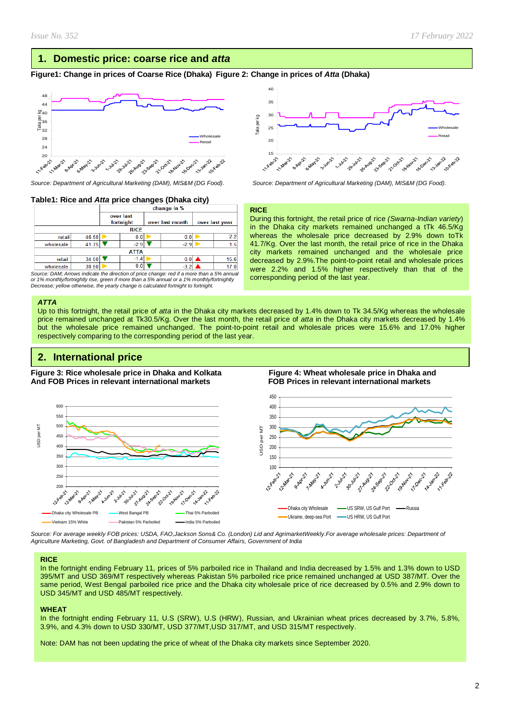# **1. Domestic price: coarse rice and** *atta*

### **Figure1: Change in prices of Coarse Rice (Dhaka) Figure 2: Change in prices of** *Atta* **(Dhaka)**



### **Table1: Rice and** *Atta* **price changes (Dhaka city)**

|           |             | change in %            |        |  |                 |  |                |  |  |
|-----------|-------------|------------------------|--------|--|-----------------|--|----------------|--|--|
|           |             | over last<br>fortnight |        |  | over last month |  | over last year |  |  |
|           | <b>RICE</b> |                        |        |  |                 |  |                |  |  |
| retail    | 46.50       |                        | 0.0    |  | 0.0             |  | 2.2            |  |  |
| wholesale | 41.75       |                        | $-2.9$ |  | $-2.9$          |  | 1.5            |  |  |
|           | <b>ATTA</b> |                        |        |  |                 |  |                |  |  |
| retail    | 34.50       |                        | $-1.4$ |  | 0.0             |  | 15.6           |  |  |
| wholesale | 30.50       |                        | 0.0    |  | $-3.2$          |  |                |  |  |

*Source: DAM; Arrows indicate the direction of price change: red if a more than a 5% annual or 1% monthly/fortnightly rise, green if more than a 5% annual or a 1% monthly/fortnightly Decrease; yellow otherwise, the yearly change is calculated fortnight to fortnight.*

#### *ATTA*

Up to this fortnight, the retail price of *atta* in the Dhaka city markets decreased by 1.4% down to Tk 34.5/Kg whereas the wholesale price remained unchanged at Tk30.5/Kg. Over the last month, the retail price of *atta* in the Dhaka city markets decreased by 1.4% but the wholesale price remained unchanged. The point-to-point retail and wholesale prices were 15.6% and 17.0% higher respectively comparing to the corresponding period of the last year.

# **2. International price**

**Figure 3: Rice wholesale price in Dhaka and Kolkata Figure 4: Wheat wholesale price in Dhaka and And FOB Prices in relevant international markets FOB Prices in relevant international markets** 



*Source: For average weekly FOB prices: USDA, FAO,Jackson Sons& Co. (London) Lid and AgrimarketWeekly.For average wholesale prices: Department of Agriculture Marketing, Govt. of Bangladesh and Department of Consumer Affairs, Government of India*

#### **RICE**

In the fortnight ending February 11, prices of 5% parboiled rice in Thailand and India decreased by 1.5% and 1.3% down to USD 395/MT and USD 369/MT respectively whereas Pakistan 5% parboiled rice price remained unchanged at USD 387/MT. Over the same period, West Bengal parboiled rice price and the Dhaka city wholesale price of rice decreased by 0.5% and 2.9% down to USD 345/MT and USD 485/MT respectively.

#### **WHEAT**

In the fortnight ending February 11, U.S (SRW), U.S (HRW), Russian, and Ukrainian wheat prices decreased by 3.7%, 5.8%, 3.9%, and 4.3% down to USD 330/MT, USD 377/MT,USD 317/MT, and USD 315/MT respectively.

Note: DAM has not been updating the price of wheat of the Dhaka city markets since September 2020.



*Source: Department of Agricultural Marketing (DAM), MIS&M (DG Food). Source: Department of Agricultural Marketing (DAM), MIS&M (DG Food).*

#### **RICE**

During this fortnight, the retail price of rice *(Swarna-Indian variety*) in the Dhaka city markets remained unchanged a tTk 46.5/Kg whereas the wholesale price decreased by 2.9% down toTk 41.7/Kg. Over the last month, the retail price of rice in the Dhaka city markets remained unchanged and the wholesale price decreased by 2.9%.The point-to-point retail and wholesale prices were 2.2% and 1.5% higher respectively than that of the corresponding period of the last year.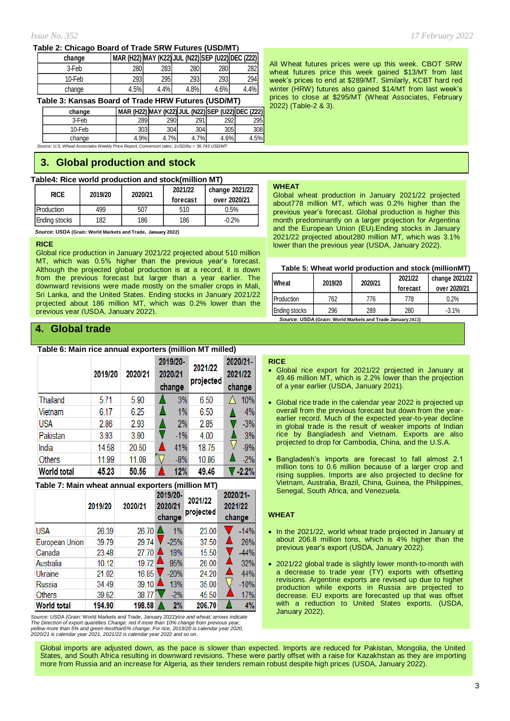#### **Table 2: Chicago Board of Trade SRW Futures (USD/MT)**

| change | MAR (H22) MAY (K22) JUL (N22) SEP (U22) DEC (Z22) |      |            |      |      |
|--------|---------------------------------------------------|------|------------|------|------|
| 3-Feb  | 280                                               | 283  | <b>280</b> | 280  | 2821 |
| 10-Feb | 2931                                              | 295  | 2931       | 293  | 294  |
| change | 4.5%                                              | 4.4% | 4.8%       | 4.6% | 4.4% |

#### **Table 3: Kansas Board of Trade HRW Futures (USD/MT)**

| change | MAR (H22) MAY (K22) JUL (N22) SEP (U22) DEC (Z22) |     |     |      |      |
|--------|---------------------------------------------------|-----|-----|------|------|
| 3-Feb  | 289                                               | 290 | 291 | 2921 | 295  |
| 10-Feb | 303                                               | 304 | 304 | 305  | 3081 |

*Source: U.S. Wheat Associates Weekly Price Report, Conversion rates: 1USD/bu = 36.743 USD/MT* change 4.9% 4.7% 4.7% 4.6% 4.5%

# **3. Global production and stock**

#### **Table4: Rice world production and stock(million MT)**

| <b>RICE</b>       | 2019/20 | 2020/21 | 2021/22<br>forecast | change 2021/22<br>over 2020/21 |
|-------------------|---------|---------|---------------------|--------------------------------|
| <b>Production</b> | 499     | 507     | 510                 | 0.5%                           |
| Ending stocks     | 182     | 186     | 186                 | $-0.2%$                        |

 *Source:* **USDA (Grain: World Markets and Trade, January 2022)**

#### **RICE**

Global rice production in January 2021/22 projected about 510 million MT, which was 0.5% higher than the previous year's forecast. Although the projected global production is at a record, it is down from the previous forecast but larger than a year earlier. The downward revisions were made mostly on the smaller crops in Mali, Sri Lanka, and the United States. Ending stocks in January 2021/22 projected about 186 million MT, which was 0.2% lower than the previous year (USDA, January 2022).

# **4. Global trade**

#### **Table 6: Main rice annual exporters (million MT milled)**

|                    | 2019/20 | 2020/21 | 2019/20-<br>2020/21<br>change | 2021/22<br>projected | 2020/21-<br>2021/22<br>change |
|--------------------|---------|---------|-------------------------------|----------------------|-------------------------------|
| Thailand           | 5.71    | 5.90    | 3%                            | 6.50                 | 10%                           |
| Vietnam            | 6.17    | 6.25    | 1%                            | 6.50                 | 4%                            |
| <b>USA</b>         | 2.86    | 2.93    | 2%                            | 2.85                 | $-3%$                         |
| Pakistan           | 3.93    | 3.90    | $-1\%$                        | 4.00                 | 3%                            |
| India              | 14.58   | 20.50   | 41%                           | 18.75                | $-9%$                         |
| Others             | 11.99   | 11.08   | $-8%$                         | 10.86                | $-2%$                         |
| <b>World total</b> | 45.23   | 50.56   | 12%                           | 49.46                | $-2.2%$                       |

#### **Table 7: Main wheat annual exporters (million MT)**

|                    | 2019/20 | 2020/21             | 2019/20-<br>2020/21<br>change | 2021/22<br>projected | 2020/21-<br>2021/22<br>change |
|--------------------|---------|---------------------|-------------------------------|----------------------|-------------------------------|
| <b>USA</b>         | 26.39   | 26.70               | 1%                            | 23.00                | $-14%$                        |
| European Union     | 39.79   | 29.74               | $-25%$                        | 37.50                | 26%                           |
| Canada             | 23.48   | 27.70               | 18%                           | 15.50                | $-44%$                        |
| Australia          | 10.12   | 19.72               | 95%                           | 26.00                | 32%                           |
| Ukraine            | 21.02   | 16.85               | $-20%$                        | 24.20                | 44%                           |
| Russia             | 34.49   | $39.10$ $\triangle$ | 13%                           | 35.00                | $-10%$                        |
| Others             | 39.62   | 38.77               | $-2%$                         | 45.50                | 17%                           |
| <b>World total</b> | 194.90  | 198.58              | 2%                            | 206.70               | 4%                            |

*Source:* USDA (Grain: World Markets and Trade, January 2022)*rice and wheat; arrows indicate The Direction of export quantities Change: red if more than 10% change from previous year,* yellow more than 5% and green lessthan5% change. For rice, 2019/20 is calendar year 2020,<br>2020/21 is calendar year 2021, 2021/22 is calendar year 2022 and so on.

All Wheat futures prices were up this week. CBOT SRW wheat futures price this week gained \$13/MT from last week's prices to end at \$289/MT. Similarly, KCBT hard red winter (HRW) futures also gained \$14/MT from last week's prices to close at \$295/MT (Wheat Associates, February 2022) (Table-2 & 3).

#### **WHEAT**

Global wheat production in January 2021/22 projected about778 million MT, which was 0.2% higher than the previous year's forecast. Global production is higher this month predominantly on a larger projection for Argentina and the European Union (EU).Ending stocks in January 2021/22 projected about280 million MT, which was 3.1% lower than the previous year (USDA, January 2022).

#### **Table 5: Wheat world production and stock (millionMT)**

| Wheat         | 2019/20 | 2020/21 | 2021/22<br>forecast | change 2021/22<br>over 2020/21 |
|---------------|---------|---------|---------------------|--------------------------------|
| Production    | 762     | 776     | 778                 | 0.2%                           |
| Ending stocks | 296     | 289     | 280                 | $-3.1\%$                       |

 *Source:* **USDA (Grain: World Markets and Trade January 2022)**

#### **RICE**

- Global rice export for 2021/22 projected in January at 49.46 million MT, which is 2.2% lower than the projection of a year earlier (USDA, January 2021).
- Global rice trade in the calendar year 2022 is projected up overall from the previous forecast but down from the yearearlier record. Much of the expected year-to-year decline in global trade is the result of weaker imports of Indian rice by Bangladesh and Vietnam. Exports are also projected to drop for Cambodia, China, and the U.S.A.
- Bangladesh's imports are forecast to fall almost 2.1 million tons to 0.6 million because of a larger crop and rising supplies. Imports are also projected to decline for Vietnam, Australia, Brazil, China, Guinea, the Philippines, Senegal, South Africa, and Venezuela.

#### **WHEAT**

- In the 2021/22, world wheat trade projected in January at about 206.8 million tons, which is 4% higher than the previous year's export (USDA, January 2022).
- 2021/22 global trade is slightly lower month-to-month with a decrease to trade year (TY) exports with offsetting revisions. Argentine exports are revised up due to higher production while exports in Russia are projected to decrease. EU exports are forecasted up that was offset with a reduction to United States exports. (USDA, January 2022).

Global imports are adjusted down, as the pace is slower than expected. Imports are reduced for Pakistan, Mongolia, the United States, and South Africa resulting in downward revisions. These were partly offset with a raise for Kazakhstan as they are importing more from Russia and an increase for Algeria, as their tenders remain robust despite high prices (USDA, January 2022).